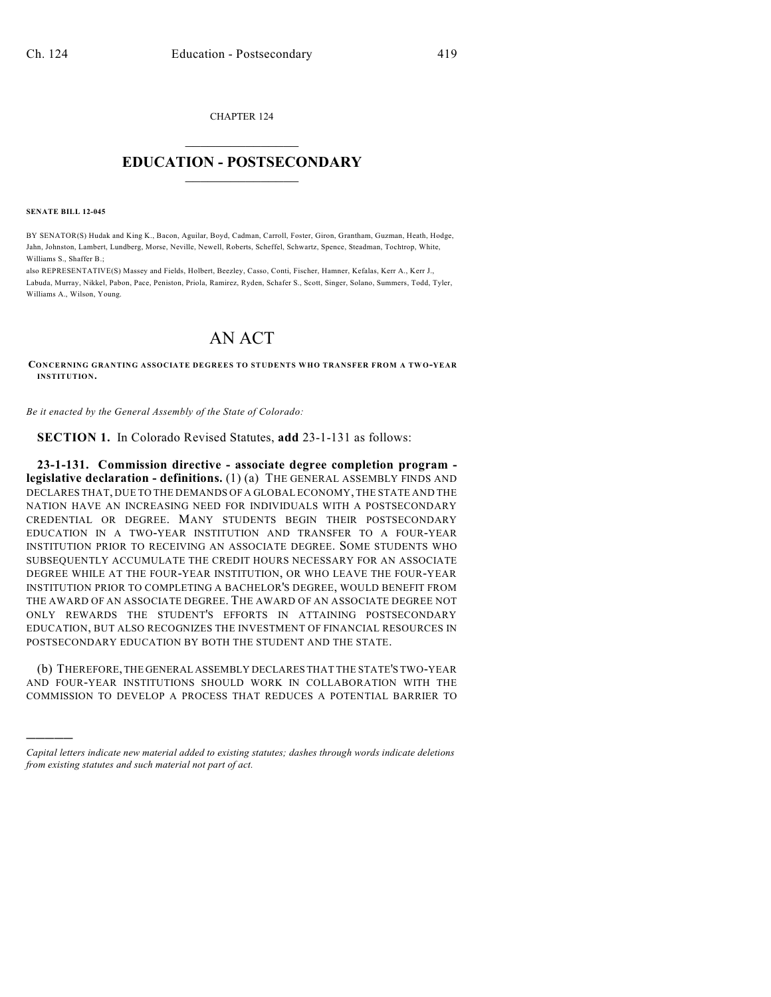CHAPTER 124  $\overline{\phantom{a}}$  . The set of the set of the set of the set of the set of the set of the set of the set of the set of the set of the set of the set of the set of the set of the set of the set of the set of the set of the set o

## **EDUCATION - POSTSECONDARY**  $\frac{1}{2}$  ,  $\frac{1}{2}$  ,  $\frac{1}{2}$  ,  $\frac{1}{2}$  ,  $\frac{1}{2}$  ,  $\frac{1}{2}$  ,  $\frac{1}{2}$

**SENATE BILL 12-045**

)))))

BY SENATOR(S) Hudak and King K., Bacon, Aguilar, Boyd, Cadman, Carroll, Foster, Giron, Grantham, Guzman, Heath, Hodge, Jahn, Johnston, Lambert, Lundberg, Morse, Neville, Newell, Roberts, Scheffel, Schwartz, Spence, Steadman, Tochtrop, White, Williams S., Shaffer B.;

also REPRESENTATIVE(S) Massey and Fields, Holbert, Beezley, Casso, Conti, Fischer, Hamner, Kefalas, Kerr A., Kerr J., Labuda, Murray, Nikkel, Pabon, Pace, Peniston, Priola, Ramirez, Ryden, Schafer S., Scott, Singer, Solano, Summers, Todd, Tyler, Williams A., Wilson, Young.

## AN ACT

**CONCERNING GRANTING ASSOCIATE DEGREES TO STUDENTS WHO TRANSFER FROM A TWO-YEAR INSTITUTION.**

*Be it enacted by the General Assembly of the State of Colorado:*

**SECTION 1.** In Colorado Revised Statutes, **add** 23-1-131 as follows:

**23-1-131. Commission directive - associate degree completion program legislative declaration - definitions.** (1) (a) THE GENERAL ASSEMBLY FINDS AND DECLARES THAT, DUE TO THE DEMANDS OF A GLOBAL ECONOMY, THE STATE AND THE NATION HAVE AN INCREASING NEED FOR INDIVIDUALS WITH A POSTSECONDARY CREDENTIAL OR DEGREE. MANY STUDENTS BEGIN THEIR POSTSECONDARY EDUCATION IN A TWO-YEAR INSTITUTION AND TRANSFER TO A FOUR-YEAR INSTITUTION PRIOR TO RECEIVING AN ASSOCIATE DEGREE. SOME STUDENTS WHO SUBSEQUENTLY ACCUMULATE THE CREDIT HOURS NECESSARY FOR AN ASSOCIATE DEGREE WHILE AT THE FOUR-YEAR INSTITUTION, OR WHO LEAVE THE FOUR-YEAR INSTITUTION PRIOR TO COMPLETING A BACHELOR'S DEGREE, WOULD BENEFIT FROM THE AWARD OF AN ASSOCIATE DEGREE. THE AWARD OF AN ASSOCIATE DEGREE NOT ONLY REWARDS THE STUDENT'S EFFORTS IN ATTAINING POSTSECONDARY EDUCATION, BUT ALSO RECOGNIZES THE INVESTMENT OF FINANCIAL RESOURCES IN POSTSECONDARY EDUCATION BY BOTH THE STUDENT AND THE STATE.

(b) THEREFORE, THE GENERAL ASSEMBLY DECLARES THAT THE STATE'S TWO-YEAR AND FOUR-YEAR INSTITUTIONS SHOULD WORK IN COLLABORATION WITH THE COMMISSION TO DEVELOP A PROCESS THAT REDUCES A POTENTIAL BARRIER TO

*Capital letters indicate new material added to existing statutes; dashes through words indicate deletions from existing statutes and such material not part of act.*